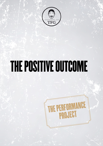

## THE POSITIVE OUTCOME